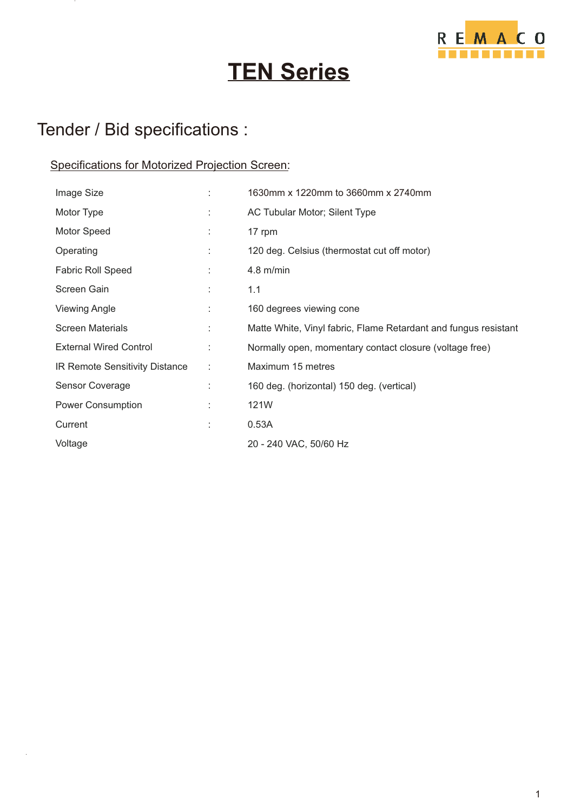

# **TEN Series**

#### Tender / Bid specifications :

#### Specifications for Motorized Projection Screen:

| Image Size                     |    | 1630mm x 1220mm to 3660mm x 2740mm                              |
|--------------------------------|----|-----------------------------------------------------------------|
| Motor Type                     |    | AC Tubular Motor; Silent Type                                   |
| Motor Speed                    |    | 17 rpm                                                          |
| Operating                      | ÷  | 120 deg. Celsius (thermostat cut off motor)                     |
| <b>Fabric Roll Speed</b>       |    | $4.8$ m/min                                                     |
| Screen Gain                    |    | 1.1                                                             |
| <b>Viewing Angle</b>           | t. | 160 degrees viewing cone                                        |
| <b>Screen Materials</b>        | ÷  | Matte White, Vinyl fabric, Flame Retardant and fungus resistant |
| <b>External Wired Control</b>  |    | Normally open, momentary contact closure (voltage free)         |
| IR Remote Sensitivity Distance | ÷  | Maximum 15 metres                                               |
| Sensor Coverage                |    | 160 deg. (horizontal) 150 deg. (vertical)                       |
| Power Consumption              |    | 121W                                                            |
| Current                        |    | 0.53A                                                           |
| Voltage                        |    | 20 - 240 VAC, 50/60 Hz                                          |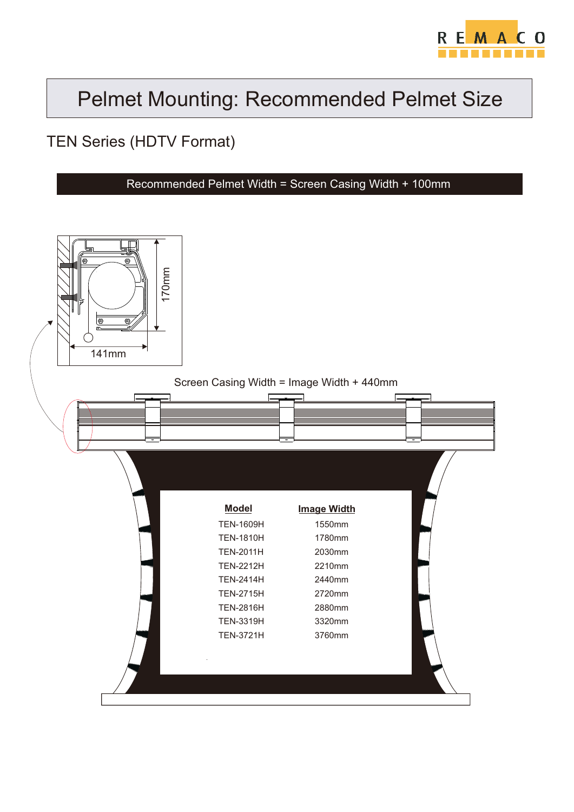

### Pelmet Mounting: Recommended Pelmet Size

#### TEN Series (HDTV Format)

Recommended Pelmet Width = Screen Casing Width + 100mm

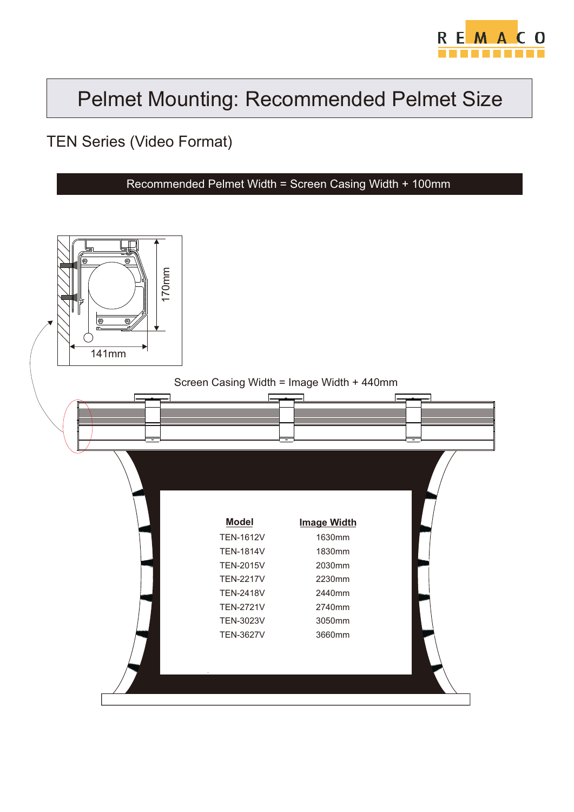

## Pelmet Mounting: Recommended Pelmet Size

TEN Series (Video Format)

Recommended Pelmet Width = Screen Casing Width + 100mm